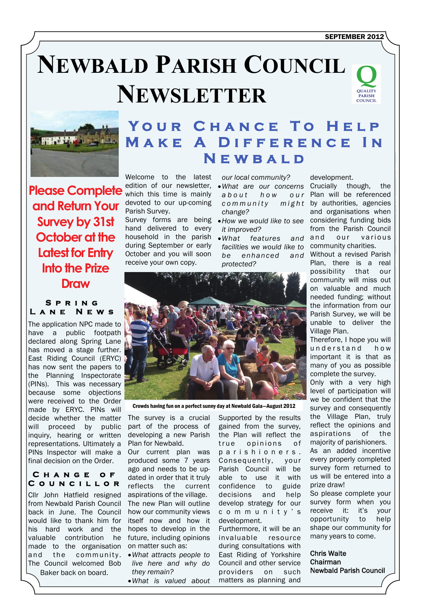# **NEWBALD PARISH COUNCIL NEWSLETTER**





## YOUR CHANCE TO HE **MAKE A DIFFERENCE Newbald**

Welcome to the latest edition of our newsletter, which this time is mainly devoted to our up-coming Parish Survey. Survey forms are being

hand delivered to every household in the parish during September or early October and you will soon receive your own copy.

*our local community?* 

- *What are our concerns*  a b o ut h o w o ur *c o m m u n i t y m i g h t change?*
- *How we would like to see it improved?*
- *What features and facilities we would like to*  community charities. *be enhanced and*  Without a revised Parish *protected?*



Crowds having fun on a perfect sunny day at Newbald Gala—August 2012

The survey is a crucial part of the process of developing a new Parish Plan for Newbald.

Our current plan was produced some 7 years ago and needs to be updated in order that it truly reflects the current aspirations of the village. The new Plan will outline how our community views itself now and how it hopes to develop in the future, including opinions on matter such as:

- *What attracts people to live here and why do they remain?*
- *What is valued about*

Supported by the results gained from the survey, the Plan will reflect the true opinions of p a r i s h i o n e r s . Consequently, your Parish Council will be able to use it with confidence to guide decisions and help develop strategy for our c o m m u n i t y ' s development.

Furthermore, it will be an invaluable resource during consultations with East Riding of Yorkshire Council and other service providers on such matters as planning and

development.

Crucially though, the Plan will be referenced  $m$ *ight* by authorities, agencies and organisations when considering funding bids from the Parish Council and our various

Plan, there is a real possibility that our community will miss out on valuable and much needed funding; without the information from our Parish Survey, we will be unable to deliver the Village Plan.

Therefore, I hope you will understand how important it is that as many of you as possible complete the survey.

Only with a very high level of participation will we be confident that the survey and consequently the Village Plan, truly reflect the opinions and aspirations of the majority of parishioners. As an added incentive every properly completed survey form returned to us will be entered into a prize draw! So please complete your

survey form when you receive it: it's your opportunity to help shape our community for many years to come.

Chris Waite Chairman Newbald Parish Council

**Please Complete and Return Your Survey by 31st October at the Latest for Entry Into the Prize Draw** 

#### **Spring Lane News**

The application NPC made to have a public footpath declared along Spring Lane has moved a stage further. East Riding Council (ERYC) has now sent the papers to the Planning Inspectorate (PINs). This was necessary because some objections were received to the Order made by ERYC. PINs will decide whether the matter will proceed by public inquiry, hearing or written representations. Ultimately a PINs Inspector will make a final decision on the Order.

#### **Change of Councillor**

Cllr John Hatfield resigned from Newbald Parish Council back in June. The Council would like to thank him for his hard work and the valuable contribution he made to the organisation and the community. The Council welcomed Bob Baker back on board.